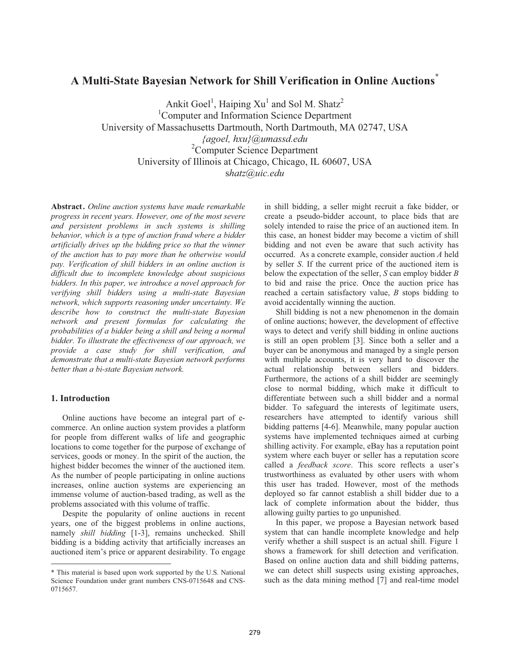# **A Multi-State Bayesian Network for Shill Verification in Online Auctions\***

Ankit Goel<sup>1</sup>, Haiping  $Xu<sup>1</sup>$  and Sol M. Shatz<sup>2</sup> 1 Computer and Information Science Department University of Massachusetts Dartmouth, North Dartmouth, MA 02747, USA *{agoel, hxu}@umassd.edu*  2 Computer Science Department University of Illinois at Chicago, Chicago, IL 60607, USA s*hatz@uic.edu*

**Abstract.** *Online auction systems have made remarkable progress in recent years. However, one of the most severe and persistent problems in such systems is shilling behavior, which is a type of auction fraud where a bidder artificially drives up the bidding price so that the winner of the auction has to pay more than he otherwise would pay. Verification of shill bidders in an online auction is difficult due to incomplete knowledge about suspicious bidders. In this paper, we introduce a novel approach for verifying shill bidders using a multi-state Bayesian network, which supports reasoning under uncertainty. We describe how to construct the multi-state Bayesian network and present formulas for calculating the probabilities of a bidder being a shill and being a normal bidder. To illustrate the effectiveness of our approach, we provide a case study for shill verification, and demonstrate that a multi-state Bayesian network performs better than a bi-state Bayesian network.* 

# **1. Introduction**

 $\overline{a}$ 

Online auctions have become an integral part of ecommerce. An online auction system provides a platform for people from different walks of life and geographic locations to come together for the purpose of exchange of services, goods or money. In the spirit of the auction, the highest bidder becomes the winner of the auctioned item. As the number of people participating in online auctions increases, online auction systems are experiencing an immense volume of auction-based trading, as well as the problems associated with this volume of traffic.

Despite the popularity of online auctions in recent years, one of the biggest problems in online auctions, namely *shill bidding* [1-3], remains unchecked. Shill bidding is a bidding activity that artificially increases an auctioned item's price or apparent desirability. To engage in shill bidding, a seller might recruit a fake bidder, or create a pseudo-bidder account, to place bids that are solely intended to raise the price of an auctioned item. In this case, an honest bidder may become a victim of shill bidding and not even be aware that such activity has occurred. As a concrete example, consider auction *A* held by seller *S*. If the current price of the auctioned item is below the expectation of the seller, *S* can employ bidder *B* to bid and raise the price. Once the auction price has reached a certain satisfactory value, *B* stops bidding to avoid accidentally winning the auction.

Shill bidding is not a new phenomenon in the domain of online auctions; however, the development of effective ways to detect and verify shill bidding in online auctions is still an open problem [3]. Since both a seller and a buyer can be anonymous and managed by a single person with multiple accounts, it is very hard to discover the actual relationship between sellers and bidders. Furthermore, the actions of a shill bidder are seemingly close to normal bidding, which make it difficult to differentiate between such a shill bidder and a normal bidder. To safeguard the interests of legitimate users, researchers have attempted to identify various shill bidding patterns [4-6]. Meanwhile, many popular auction systems have implemented techniques aimed at curbing shilling activity. For example, eBay has a reputation point system where each buyer or seller has a reputation score called a *feedback score*. This score reflects a user's trustworthiness as evaluated by other users with whom this user has traded. However, most of the methods deployed so far cannot establish a shill bidder due to a lack of complete information about the bidder, thus allowing guilty parties to go unpunished.

In this paper, we propose a Bayesian network based system that can handle incomplete knowledge and help verify whether a shill suspect is an actual shill. Figure 1 shows a framework for shill detection and verification. Based on online auction data and shill bidding patterns, we can detect shill suspects using existing approaches, such as the data mining method [7] and real-time model

<sup>\*</sup> This material is based upon work supported by the U.S. National Science Foundation under grant numbers CNS-0715648 and CNS-0715657.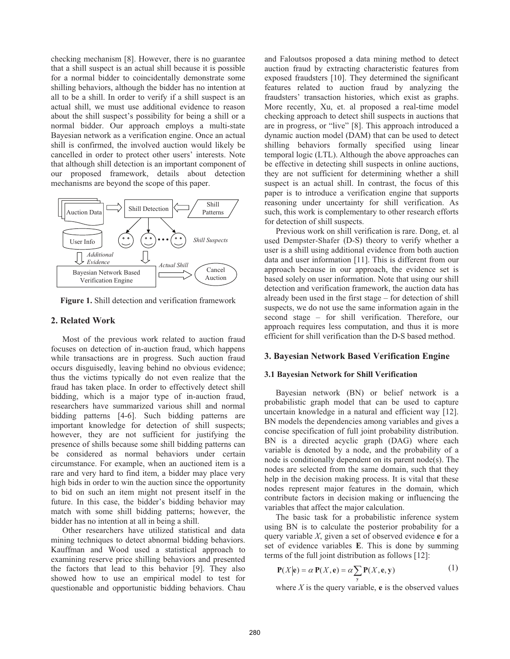checking mechanism [8]. However, there is no guarantee that a shill suspect is an actual shill because it is possible for a normal bidder to coincidentally demonstrate some shilling behaviors, although the bidder has no intention at all to be a shill. In order to verify if a shill suspect is an actual shill, we must use additional evidence to reason about the shill suspect's possibility for being a shill or a normal bidder. Our approach employs a multi-state Bayesian network as a verification engine. Once an actual shill is confirmed, the involved auction would likely be cancelled in order to protect other users' interests. Note that although shill detection is an important component of our proposed framework, details about detection mechanisms are beyond the scope of this paper.



**Figure 1.** Shill detection and verification framework

## **2. Related Work**

Most of the previous work related to auction fraud focuses on detection of in-auction fraud, which happens while transactions are in progress. Such auction fraud occurs disguisedly, leaving behind no obvious evidence; thus the victims typically do not even realize that the fraud has taken place. In order to effectively detect shill bidding, which is a major type of in-auction fraud, researchers have summarized various shill and normal bidding patterns [4-6]. Such bidding patterns are important knowledge for detection of shill suspects; however, they are not sufficient for justifying the presence of shills because some shill bidding patterns can be considered as normal behaviors under certain circumstance. For example, when an auctioned item is a rare and very hard to find item, a bidder may place very high bids in order to win the auction since the opportunity to bid on such an item might not present itself in the future. In this case, the bidder's bidding behavior may match with some shill bidding patterns; however, the bidder has no intention at all in being a shill.

Other researchers have utilized statistical and data mining techniques to detect abnormal bidding behaviors. Kauffman and Wood used a statistical approach to examining reserve price shilling behaviors and presented the factors that lead to this behavior [9]. They also showed how to use an empirical model to test for questionable and opportunistic bidding behaviors. Chau and Faloutsos proposed a data mining method to detect auction fraud by extracting characteristic features from exposed fraudsters [10]. They determined the significant features related to auction fraud by analyzing the fraudsters' transaction histories, which exist as graphs. More recently, Xu, et. al proposed a real-time model checking approach to detect shill suspects in auctions that are in progress, or "live" [8]. This approach introduced a dynamic auction model (DAM) that can be used to detect shilling behaviors formally specified using linear temporal logic (LTL). Although the above approaches can be effective in detecting shill suspects in online auctions, they are not sufficient for determining whether a shill suspect is an actual shill. In contrast, the focus of this paper is to introduce a verification engine that supports reasoning under uncertainty for shill verification. As such, this work is complementary to other research efforts for detection of shill suspects.

Previous work on shill verification is rare. Dong, et. al used Dempster-Shafer (D-S) theory to verify whether a user is a shill using additional evidence from both auction data and user information [11]. This is different from our approach because in our approach, the evidence set is based solely on user information. Note that using our shill detection and verification framework, the auction data has already been used in the first stage – for detection of shill suspects, we do not use the same information again in the second stage – for shill verification. Therefore, our approach requires less computation, and thus it is more efficient for shill verification than the D-S based method.

## **3. Bayesian Network Based Verification Engine**

#### **3.1 Bayesian Network for Shill Verification**

Bayesian network (BN) or belief network is a probabilistic graph model that can be used to capture uncertain knowledge in a natural and efficient way [12]. BN models the dependencies among variables and gives a concise specification of full joint probability distribution. BN is a directed acyclic graph (DAG) where each variable is denoted by a node, and the probability of a node is conditionally dependent on its parent node(s). The nodes are selected from the same domain, such that they help in the decision making process. It is vital that these nodes represent major features in the domain, which contribute factors in decision making or influencing the variables that affect the major calculation.

The basic task for a probabilistic inference system using BN is to calculate the posterior probability for a query variable *X*, given a set of observed evidence **e** for a set of evidence variables **E**. This is done by summing terms of the full joint distribution as follows [12]:

$$
\mathbf{P}(X|\mathbf{e}) = \alpha \mathbf{P}(X, \mathbf{e}) = \alpha \sum_{\mathbf{y}} \mathbf{P}(X, \mathbf{e}, \mathbf{y})
$$
(1)

where  $X$  is the query variable, **e** is the observed values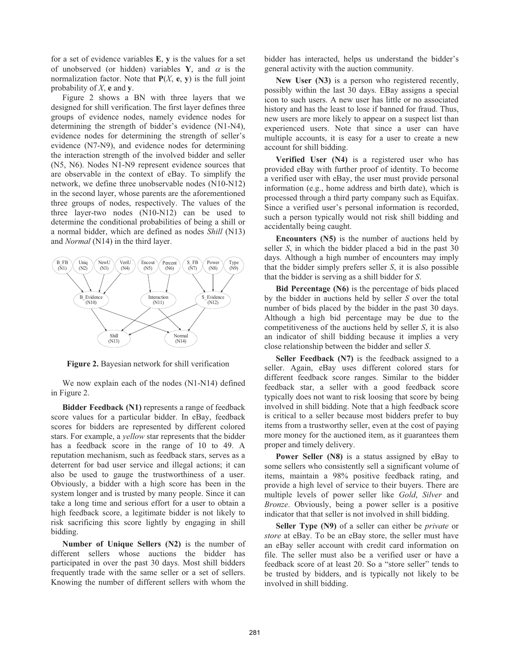for a set of evidence variables **E**, **y** is the values for a set of unobserved (or hidden) variables **Y**, and  $\alpha$  is the normalization factor. Note that  $P(X, e, y)$  is the full joint probability of *X*, **e** and **y**.

Figure 2 shows a BN with three layers that we designed for shill verification. The first layer defines three groups of evidence nodes, namely evidence nodes for determining the strength of bidder's evidence (N1-N4), evidence nodes for determining the strength of seller's evidence (N7-N9), and evidence nodes for determining the interaction strength of the involved bidder and seller (N5, N6). Nodes N1-N9 represent evidence sources that are observable in the context of eBay. To simplify the network, we define three unobservable nodes (N10-N12) in the second layer, whose parents are the aforementioned three groups of nodes, respectively. The values of the three layer-two nodes (N10-N12) can be used to determine the conditional probabilities of being a shill or a normal bidder, which are defined as nodes *Shill* (N13) and *Normal* (N14) in the third layer.



**Figure 2.** Bayesian network for shill verification

We now explain each of the nodes (N1-N14) defined in Figure 2.

**Bidder Feedback (N1)** represents a range of feedback score values for a particular bidder. In eBay, feedback scores for bidders are represented by different colored stars. For example, a *yellow* star represents that the bidder has a feedback score in the range of 10 to 49. A reputation mechanism, such as feedback stars, serves as a deterrent for bad user service and illegal actions; it can also be used to gauge the trustworthiness of a user. Obviously, a bidder with a high score has been in the system longer and is trusted by many people. Since it can take a long time and serious effort for a user to obtain a high feedback score, a legitimate bidder is not likely to risk sacrificing this score lightly by engaging in shill bidding.

**Number of Unique Sellers (N2)** is the number of different sellers whose auctions the bidder has participated in over the past 30 days. Most shill bidders frequently trade with the same seller or a set of sellers. Knowing the number of different sellers with whom the bidder has interacted, helps us understand the bidder's general activity with the auction community.

**New User (N3)** is a person who registered recently, possibly within the last 30 days. EBay assigns a special icon to such users. A new user has little or no associated history and has the least to lose if banned for fraud. Thus, new users are more likely to appear on a suspect list than experienced users. Note that since a user can have multiple accounts, it is easy for a user to create a new account for shill bidding.

**Verified User (N4)** is a registered user who has provided eBay with further proof of identity. To become a verified user with eBay, the user must provide personal information (e.g., home address and birth date), which is processed through a third party company such as Equifax. Since a verified user's personal information is recorded, such a person typically would not risk shill bidding and accidentally being caught.

**Encounters (N5)** is the number of auctions held by seller *S*, in which the bidder placed a bid in the past 30 days. Although a high number of encounters may imply that the bidder simply prefers seller *S*, it is also possible that the bidder is serving as a shill bidder for *S*.

**Bid Percentage (N6)** is the percentage of bids placed by the bidder in auctions held by seller *S* over the total number of bids placed by the bidder in the past 30 days. Although a high bid percentage may be due to the competitiveness of the auctions held by seller *S*, it is also an indicator of shill bidding because it implies a very close relationship between the bidder and seller *S*.

**Seller Feedback (N7)** is the feedback assigned to a seller. Again, eBay uses different colored stars for different feedback score ranges. Similar to the bidder feedback star, a seller with a good feedback score typically does not want to risk loosing that score by being involved in shill bidding. Note that a high feedback score is critical to a seller because most bidders prefer to buy items from a trustworthy seller, even at the cost of paying more money for the auctioned item, as it guarantees them proper and timely delivery.

**Power Seller (N8)** is a status assigned by eBay to some sellers who consistently sell a significant volume of items, maintain a 98% positive feedback rating, and provide a high level of service to their buyers. There are multiple levels of power seller like *Gold*, *Silver* and *Bronze*. Obviously, being a power seller is a positive indicator that that seller is not involved in shill bidding.

**Seller Type (N9)** of a seller can either be *private* or *store* at eBay. To be an eBay store, the seller must have an eBay seller account with credit card information on file. The seller must also be a verified user or have a feedback score of at least 20. So a "store seller" tends to be trusted by bidders, and is typically not likely to be involved in shill bidding.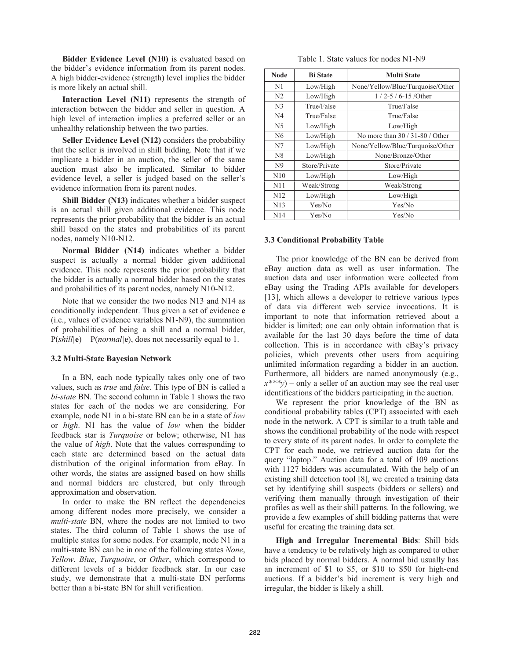**Bidder Evidence Level (N10)** is evaluated based on the bidder's evidence information from its parent nodes. A high bidder-evidence (strength) level implies the bidder is more likely an actual shill.

**Interaction Level (N11)** represents the strength of interaction between the bidder and seller in question. A high level of interaction implies a preferred seller or an unhealthy relationship between the two parties.

**Seller Evidence Level (N12)** considers the probability that the seller is involved in shill bidding. Note that if we implicate a bidder in an auction, the seller of the same auction must also be implicated. Similar to bidder evidence level, a seller is judged based on the seller's evidence information from its parent nodes.

**Shill Bidder (N13)** indicates whether a bidder suspect is an actual shill given additional evidence. This node represents the prior probability that the bidder is an actual shill based on the states and probabilities of its parent nodes, namely N10-N12.

**Normal Bidder (N14)** indicates whether a bidder suspect is actually a normal bidder given additional evidence. This node represents the prior probability that the bidder is actually a normal bidder based on the states and probabilities of its parent nodes, namely N10-N12.

Note that we consider the two nodes N13 and N14 as conditionally independent. Thus given a set of evidence **e** (i.e., values of evidence variables N1-N9), the summation of probabilities of being a shill and a normal bidder,  $P(\text{shill}|\mathbf{e}) + P(\text{normal}|\mathbf{e})$ , does not necessarily equal to 1.

#### **3.2 Multi-State Bayesian Network**

In a BN, each node typically takes only one of two values, such as *true* and *false*. This type of BN is called a *bi-state* BN. The second column in Table 1 shows the two states for each of the nodes we are considering. For example, node N1 in a bi-state BN can be in a state of *low* or *high*. N1 has the value of *low* when the bidder feedback star is *Turquoise* or below; otherwise, N1 has the value of *high*. Note that the values corresponding to each state are determined based on the actual data distribution of the original information from eBay. In other words, the states are assigned based on how shills and normal bidders are clustered, but only through approximation and observation.

In order to make the BN reflect the dependencies among different nodes more precisely, we consider a *multi-state* BN, where the nodes are not limited to two states. The third column of Table 1 shows the use of multiple states for some nodes. For example, node N1 in a multi-state BN can be in one of the following states *None*, *Yellow*, *Blue*, *Turquoise*, or *Other*, which correspond to different levels of a bidder feedback star. In our case study, we demonstrate that a multi-state BN performs better than a bi-state BN for shill verification.

| Table 1. State values for nodes N1-N9 |  |
|---------------------------------------|--|
|---------------------------------------|--|

| <b>Node</b>     | <b>Bi</b> State | <b>Multi State</b>               |  |
|-----------------|-----------------|----------------------------------|--|
| N1              | Low/High        | None/Yellow/Blue/Turquoise/Other |  |
| N <sub>2</sub>  | Low/High        | $1/2 - 5/6 - 15$ /Other          |  |
| N <sub>3</sub>  | True/False      | True/False                       |  |
| N <sub>4</sub>  | True/False      | True/False                       |  |
| N <sub>5</sub>  | Low/High        | Low/High                         |  |
| N6              | Low/High        | No more than $30/31-80/Other$    |  |
| N7              | Low/High        | None/Yellow/Blue/Turquoise/Other |  |
| N <sub>8</sub>  | Low/High        | None/Bronze/Other                |  |
| N <sub>9</sub>  | Store/Private   | Store/Private                    |  |
| N10             | Low/High        | Low/High                         |  |
| N11             | Weak/Strong     | Weak/Strong                      |  |
| N <sub>12</sub> | Low/High        | Low/High                         |  |
| N13             | Yes/No          | Yes/No                           |  |
| N14             | Yes/No          | Yes/No                           |  |

## **3.3 Conditional Probability Table**

The prior knowledge of the BN can be derived from eBay auction data as well as user information. The auction data and user information were collected from eBay using the Trading APIs available for developers [13], which allows a developer to retrieve various types of data via different web service invocations. It is important to note that information retrieved about a bidder is limited; one can only obtain information that is available for the last 30 days before the time of data collection. This is in accordance with eBay's privacy policies, which prevents other users from acquiring unlimited information regarding a bidder in an auction. Furthermore, all bidders are named anonymously (e.g.,  $x^{***}y$ ) – only a seller of an auction may see the real user identifications of the bidders participating in the auction.

We represent the prior knowledge of the BN as conditional probability tables (CPT) associated with each node in the network. A CPT is similar to a truth table and shows the conditional probability of the node with respect to every state of its parent nodes. In order to complete the CPT for each node, we retrieved auction data for the query "laptop." Auction data for a total of 109 auctions with 1127 bidders was accumulated. With the help of an existing shill detection tool [8], we created a training data set by identifying shill suspects (bidders or sellers) and verifying them manually through investigation of their profiles as well as their shill patterns. In the following, we provide a few examples of shill bidding patterns that were useful for creating the training data set.

**High and Irregular Incremental Bids**: Shill bids have a tendency to be relatively high as compared to other bids placed by normal bidders. A normal bid usually has an increment of \$1 to \$5, or \$10 to \$50 for high-end auctions. If a bidder's bid increment is very high and irregular, the bidder is likely a shill.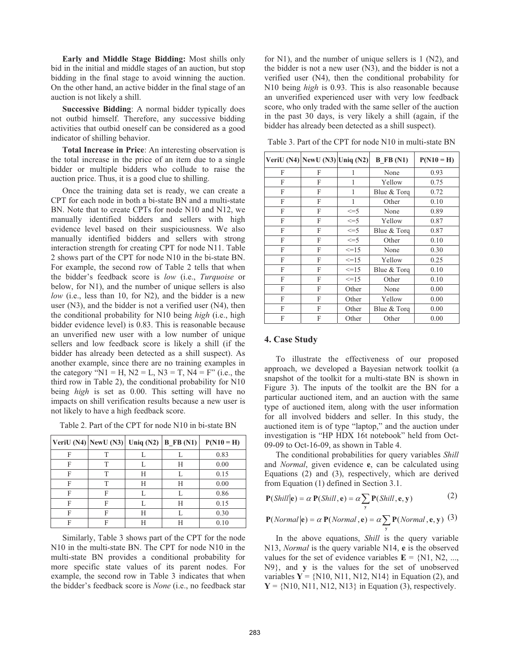**Early and Middle Stage Bidding:** Most shills only bid in the initial and middle stages of an auction, but stop bidding in the final stage to avoid winning the auction. On the other hand, an active bidder in the final stage of an auction is not likely a shill.

**Successive Bidding**: A normal bidder typically does not outbid himself. Therefore, any successive bidding activities that outbid oneself can be considered as a good indicator of shilling behavior.

**Total Increase in Price**: An interesting observation is the total increase in the price of an item due to a single bidder or multiple bidders who collude to raise the auction price. Thus, it is a good clue to shilling.

Once the training data set is ready, we can create a CPT for each node in both a bi-state BN and a multi-state BN. Note that to create CPTs for node N10 and N12, we manually identified bidders and sellers with high evidence level based on their suspiciousness. We also manually identified bidders and sellers with strong interaction strength for creating CPT for node N11. Table 2 shows part of the CPT for node N10 in the bi-state BN. For example, the second row of Table 2 tells that when the bidder's feedback score is *low* (i.e., *Turquoise* or below, for N1), and the number of unique sellers is also *low* (i.e., less than 10, for N2), and the bidder is a new user (N3), and the bidder is not a verified user (N4), then the conditional probability for N10 being *high* (i.e., high bidder evidence level) is 0.83. This is reasonable because an unverified new user with a low number of unique sellers and low feedback score is likely a shill (if the bidder has already been detected as a shill suspect). As another example, since there are no training examples in the category "N1 = H, N2 = L, N3 = T, N4 = F" (i.e., the third row in Table 2), the conditional probability for N10 being *high* is set as 0.00. This setting will have no impacts on shill verification results because a new user is not likely to have a high feedback score.

Table 2. Part of the CPT for node N10 in bi-state BN

|   | VeriU (N4) NewU (N3) Uniq (N2)   B_FB (N1) |   |   | $P(N10 = H)$ |
|---|--------------------------------------------|---|---|--------------|
| F |                                            |   |   | 0.83         |
| F | т                                          |   | Н | 0.00         |
| F | т                                          | Н |   | 0.15         |
| F | т                                          | Н | Н | 0.00         |
| F | F                                          |   |   | 0.86         |
| F | F                                          |   | Н | 0.15         |
| F | F                                          | Н |   | 0.30         |
| F | F                                          |   |   | 0.10         |

Similarly, Table 3 shows part of the CPT for the node N10 in the multi-state BN. The CPT for node N10 in the multi-state BN provides a conditional probability for more specific state values of its parent nodes. For example, the second row in Table 3 indicates that when the bidder's feedback score is *None* (i.e., no feedback star

for N1), and the number of unique sellers is 1 (N2), and the bidder is not a new user (N3), and the bidder is not a verified user (N4), then the conditional probability for N10 being *high* is 0.93. This is also reasonable because an unverified experienced user with very low feedback score, who only traded with the same seller of the auction in the past 30 days, is very likely a shill (again, if the bidder has already been detected as a shill suspect).

|   | VeriU (N4) NewU (N3) Uniq (N2) |            | $B$ FB $(N1)$       | $P(N10 = H)$ |
|---|--------------------------------|------------|---------------------|--------------|
| F | F                              | 1          | None                | 0.93         |
| F | F                              | 1          | Yellow              | 0.75         |
| F | F                              | 1          | Blue & Torg         | 0.72         |
| F | F                              | 1          | Other               | 0.10         |
| F | F                              | $\leq$ =5  | None                | 0.89         |
| F | F                              | $\leq$ =5  | Yellow              | 0.87         |
| F | F                              | $\leq$ =5  | Blue & Torq         | 0.87         |
| F | F                              | $\leq$ =5  | Other               | 0.10         |
| F | F                              | $\leq$ =15 | None                | 0.30         |
| F | F                              | $\leq$ 15  | Yellow              | 0.25         |
| F | F                              | $\leq$ =15 | Blue & Torq         | 0.10         |
| F | F                              | $\leq$ =15 | Other               | 0.10         |
| F | F                              | Other      | None                | 0.00         |
| F | F                              | Other      | 0.00<br>Yellow      |              |
| F | F                              | Other      | 0.00<br>Blue & Torq |              |
| F | F                              | Other      | Other               | 0.00         |

Table 3. Part of the CPT for node N10 in multi-state BN

#### **4. Case Study**

To illustrate the effectiveness of our proposed approach, we developed a Bayesian network toolkit (a snapshot of the toolkit for a multi-state BN is shown in Figure 3). The inputs of the toolkit are the BN for a particular auctioned item, and an auction with the same type of auctioned item, along with the user information for all involved bidders and seller. In this study, the auctioned item is of type "laptop," and the auction under investigation is "HP HDX 16t notebook" held from Oct-09-09 to Oct-16-09, as shown in Table 4.

The conditional probabilities for query variables *Shill* and *Normal*, given evidence **e**, can be calculated using Equations (2) and (3), respectively, which are derived from Equation (1) defined in Section 3.1.

$$
\mathbf{P}(Shill|\mathbf{e}) = \alpha \mathbf{P}(Shill, \mathbf{e}) = \alpha \sum_{\mathbf{y}} \mathbf{P}(Shill, \mathbf{e}, \mathbf{y})
$$
(2)

$$
\mathbf{P}(Normal|\mathbf{e}) = \alpha \mathbf{P}(Normal, \mathbf{e}) = \alpha \sum_{\mathbf{y}} \mathbf{P}(Normal, \mathbf{e}, \mathbf{y}) \tag{3}
$$

In the above equations, *Shill* is the query variable N13, *Normal* is the query variable N14, **e** is the observed values for the set of evidence variables  $E = \{N1, N2, \dots, N\}$ N9}, and **y** is the values for the set of unobserved variables  $Y = \{N10, N11, N12, N14\}$  in Equation (2), and  $Y = \{N10, N11, N12, N13\}$  in Equation (3), respectively.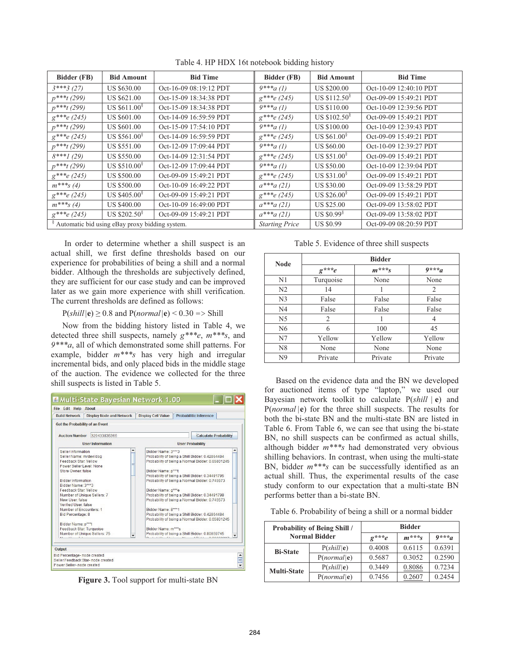| Bidder (FB)      | <b>Bid Amount</b>                                           | <b>Bid Time</b>        | Bidder (FB)           | <b>Bid Amount</b>        | <b>Bid Time</b>        |
|------------------|-------------------------------------------------------------|------------------------|-----------------------|--------------------------|------------------------|
| $3***3(27)$      | US \$630.00                                                 | Oct-16-09 08:19:12 PDT | $9***a(1)$            | <b>US \$200.00</b>       | Oct-10-09 12:40:10 PDT |
| $p^{***t}$ (299) | US \$621.00                                                 | Oct-15-09 18:34:38 PDT | $g^{***}e(245)$       | US $$112.508$            | Oct-09-09 15:49:21 PDT |
| $p^{***t}$ (299) | US $$611.00$ <sup>§</sup>                                   | Oct-15-09 18:34:38 PDT | $9***a(1)$            | <b>US \$110.00</b>       | Oct-10-09 12:39:56 PDT |
| $g^{***}e(245)$  | <b>US \$601.00</b>                                          | Oct-14-09 16:59:59 PDT | $g^{***}e(245)$       | US $$102.50^{\circ}$     | Oct-09-09 15:49:21 PDT |
| $p^{***t}$ (299) | <b>US \$601.00</b>                                          | Oct-15-09 17:54:10 PDT | $9***a(1)$            | <b>US \$100.00</b>       | Oct-10-09 12:39:43 PDT |
| $g^{***}e(245)$  | US \$561.00 <sup>§</sup>                                    | Oct-14-09 16:59:59 PDT | $g^{***}e(245)$       | US $$61.00$ <sup>§</sup> | Oct-09-09 15:49:21 PDT |
| $p^{***t}$ (299) | US \$551.00                                                 | Oct-12-09 17:09:44 PDT | $9***a(1)$            | US \$60.00               | Oct-10-09 12:39:27 PDT |
| $8***1(29)$      | <b>US \$550.00</b>                                          | Oct-14-09 12:31:54 PDT | $g^{***}e(245)$       | US \$51.00 $^{\circ}$    | Oct-09-09 15:49:21 PDT |
| $p^{***t}$ (299) | US \$510.00 $^{\circ}$                                      | Oct-12-09 17:09:44 PDT | $9***a(1)$            | <b>US \$50.00</b>        | Oct-10-09 12:39:04 PDT |
| $g^{***}e(245)$  | <b>US \$500.00</b>                                          | Oct-09-09 15:49:21 PDT | $g^{***}e(245)$       | US $$31.008$             | Oct-09-09 15:49:21 PDT |
| $m^{***}S(4)$    | <b>US \$500.00</b>                                          | Oct-10-09 16:49:22 PDT | $a^{***a}$ (21)       | <b>US \$30.00</b>        | Oct-09-09 13:58:29 PDT |
| $g^{***}e(245)$  | US $$405.00^{\circ}$$                                       | Oct-09-09 15:49:21 PDT | $g^{***}e(245)$       | US \$26.00 $^{\circ}$    | Oct-09-09 15:49:21 PDT |
| $m^{***}s(4)$    | <b>US \$400.00</b>                                          | Oct-10-09 16:49:00 PDT | $a^{***a}$ (21)       | US \$25.00               | Oct-09-09 13:58:02 PDT |
| $g^{***}e(245)$  | US $$202.50^{\circ}$$                                       | Oct-09-09 15:49:21 PDT | $a^{***a(21)}$        | US $$0.99$ <sup>§</sup>  | Oct-09-09 13:58:02 PDT |
|                  | <sup>§</sup> Automatic bid using eBay proxy bidding system. |                        | <b>Starting Price</b> | <b>US \$0.99</b>         | Oct-09-09 08:20:59 PDT |

Table 4. HP HDX 16t notebook bidding history

 In order to determine whether a shill suspect is an actual shill, we first define thresholds based on our experience for probabilities of being a shill and a normal bidder. Although the thresholds are subjectively defined, they are sufficient for our case study and can be improved later as we gain more experience with shill verification. The current thresholds are defined as follows:

 $P(\text{shill}|\mathbf{e}) \geq 0.8$  and  $P(\text{normal}|\mathbf{e}) < 0.30 \Rightarrow$  Shill

Now from the bidding history listed in Table 4, we detected three shill suspects, namely *g\*\*\*e*, *m\*\*\*s*, and *9\*\*\*a*, all of which demonstrated some shill patterns. For example, bidder *m\*\*\*s* has very high and irregular incremental bids, and only placed bids in the middle stage of the auction. The evidence we collected for the three shill suspects is listed in Table 5.



**Figure 3.** Tool support for multi-state BN

| <b>Node</b>    | <b>Bidder</b>          |                        |         |  |
|----------------|------------------------|------------------------|---------|--|
|                | $g^{\star\star\star}e$ | $m^{\star\star\star}s$ | $9***a$ |  |
| N <sub>1</sub> | Turquoise              | None                   | None    |  |
| N <sub>2</sub> | 14                     |                        | 2       |  |
| N <sub>3</sub> | False                  | False                  | False   |  |
| N <sub>4</sub> | False                  | False                  | False   |  |
| N <sub>5</sub> | 2                      |                        |         |  |
| N <sub>6</sub> | 6                      | 100                    | 45      |  |
| N7             | Yellow                 | Yellow                 | Yellow  |  |
| N <sub>8</sub> | None                   | None                   | None    |  |
| N <sub>9</sub> | Private                | Private                | Private |  |

Based on the evidence data and the BN we developed for auctioned items of type "laptop," we used our Bayesian network toolkit to calculate P(*shill* | **e**) and P(*normal* |**e**) for the three shill suspects. The results for both the bi-state BN and the multi-state BN are listed in Table 6. From Table 6, we can see that using the bi-state BN, no shill suspects can be confirmed as actual shills, although bidder *m\*\*\*s* had demonstrated very obvious shilling behaviors. In contrast, when using the multi-state BN, bidder *m\*\*\*s* can be successfully identified as an actual shill. Thus, the experimental results of the case study conform to our expectation that a multi-state BN performs better than a bi-state BN.

Table 6. Probability of being a shill or a normal bidder

| <b>Probability of Being Shill /</b><br><b>Normal Bidder</b> |                                | <b>Bidder</b> |                        |         |  |
|-------------------------------------------------------------|--------------------------------|---------------|------------------------|---------|--|
|                                                             |                                | $e^{***}e$    | $m^{\star\star\star}s$ | $0***a$ |  |
| <b>Bi-State</b>                                             | $P(\textit{shill} \mathbf{e})$ | 0.4008        | 0.6115                 | 0.6391  |  |
|                                                             | P( <i>normal</i>   <b>e</b> )  | 0.5687        | 0.3052                 | 0.2590  |  |
| <b>Multi-State</b>                                          | $P(\textit{shill} \mathbf{e})$ | 0.3449        | 0.8086                 | 0.7234  |  |
|                                                             | P(normal   e)                  | 0.7456        | 0.2607                 | 0.2454  |  |